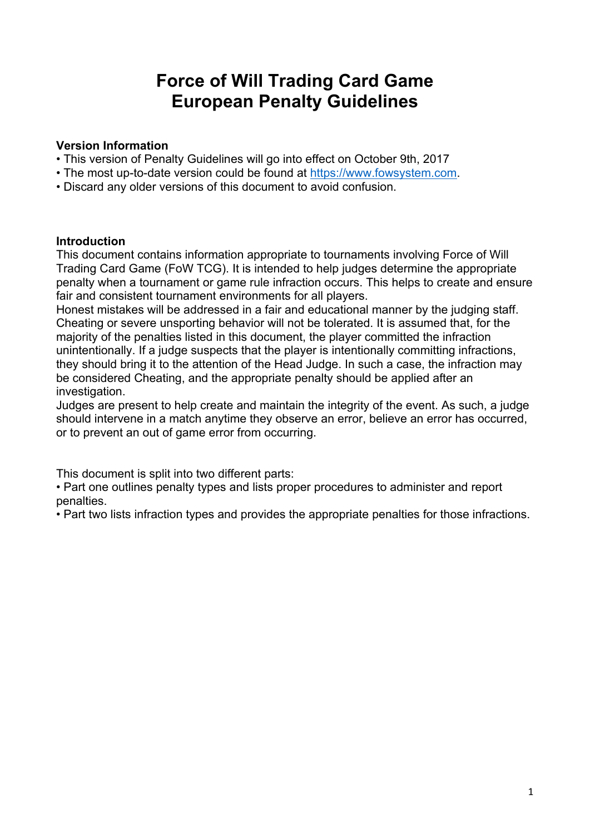# **Force of Will Trading Card Game European Penalty Guidelines**

#### **Version Information**

- This version of Penalty Guidelines will go into effect on October 9th, 2017
- The most up-to-date version could be found at https://www.fowsystem.com.
- Discard any older versions of this document to avoid confusion.

#### **Introduction**

This document contains information appropriate to tournaments involving Force of Will Trading Card Game (FoW TCG). It is intended to help judges determine the appropriate penalty when a tournament or game rule infraction occurs. This helps to create and ensure fair and consistent tournament environments for all players.

Honest mistakes will be addressed in a fair and educational manner by the judging staff. Cheating or severe unsporting behavior will not be tolerated. It is assumed that, for the majority of the penalties listed in this document, the player committed the infraction unintentionally. If a judge suspects that the player is intentionally committing infractions, they should bring it to the attention of the Head Judge. In such a case, the infraction may be considered Cheating, and the appropriate penalty should be applied after an investigation.

Judges are present to help create and maintain the integrity of the event. As such, a judge should intervene in a match anytime they observe an error, believe an error has occurred, or to prevent an out of game error from occurring.

This document is split into two different parts:

• Part one outlines penalty types and lists proper procedures to administer and report penalties.

• Part two lists infraction types and provides the appropriate penalties for those infractions.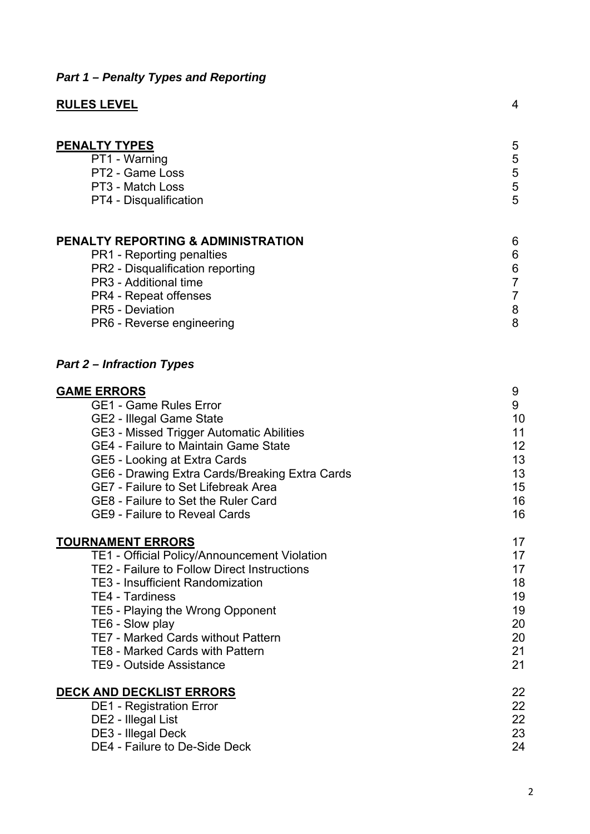## *Part 1 – Penalty Types and Reporting*

| <b>RULES LEVEL</b>                                                                                                                                                                                                             | 4                     |
|--------------------------------------------------------------------------------------------------------------------------------------------------------------------------------------------------------------------------------|-----------------------|
| <b>PENALTY TYPES</b><br>PT1 - Warning<br>PT2 - Game Loss<br>PT3 - Match Loss<br>PT4 - Disqualification                                                                                                                         | 5<br>5<br>5<br>5<br>5 |
| <b>PENALTY REPORTING &amp; ADMINISTRATION</b><br><b>PR1</b> - Reporting penalties<br>PR2 - Disqualification reporting<br>PR3 - Additional time<br>PR4 - Repeat offenses<br><b>PR5 - Deviation</b><br>PR6 - Reverse engineering | 6<br>6<br>6<br>8<br>8 |
| <b>Part 2 – Infraction Types</b>                                                                                                                                                                                               |                       |

| <b>GAME ERRORS</b>                                 | 9  |
|----------------------------------------------------|----|
| <b>GE1 - Game Rules Error</b>                      | 9  |
| <b>GE2 - Illegal Game State</b>                    | 10 |
| GE3 - Missed Trigger Automatic Abilities           | 11 |
| GE4 - Failure to Maintain Game State               | 12 |
| GE5 - Looking at Extra Cards                       | 13 |
| GE6 - Drawing Extra Cards/Breaking Extra Cards     | 13 |
| <b>GE7 - Failure to Set Lifebreak Area</b>         | 15 |
| GE8 - Failure to Set the Ruler Card                | 16 |
| <b>GE9 - Failure to Reveal Cards</b>               | 16 |
| <b>TOURNAMENT ERRORS</b>                           | 17 |
| TE1 - Official Policy/Announcement Violation       | 17 |
| <b>TE2 - Failure to Follow Direct Instructions</b> | 17 |
| <b>TE3 - Insufficient Randomization</b>            | 18 |
| <b>TE4 - Tardiness</b>                             | 19 |
| TE5 - Playing the Wrong Opponent                   | 19 |
| TE6 - Slow play                                    | 20 |
| <b>TE7 - Marked Cards without Pattern</b>          | 20 |
| <b>TE8 - Marked Cards with Pattern</b>             | 21 |
| TE9 - Outside Assistance                           | 21 |
| <u>DECK AND DECKLIST ERRORS</u>                    | 22 |
| <b>DE1 - Registration Error</b>                    | 22 |
| DE2 - Illegal List                                 | 22 |
| DE3 - Illegal Deck                                 | 23 |
| DE4 - Failure to De-Side Deck                      | 24 |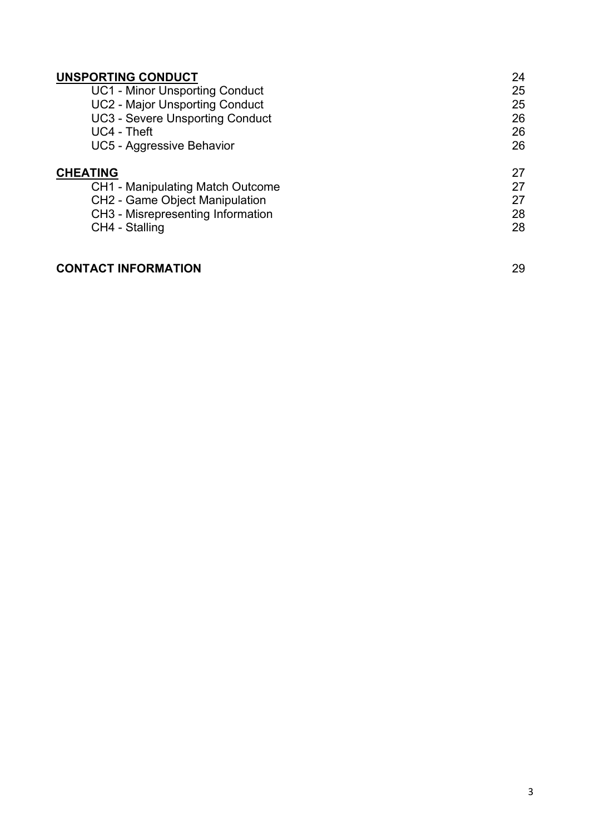| UNSPORTING CONDUCT                      | 24 |
|-----------------------------------------|----|
| <b>UC1 - Minor Unsporting Conduct</b>   | 25 |
| <b>UC2 - Major Unsporting Conduct</b>   | 25 |
| <b>UC3 - Severe Unsporting Conduct</b>  | 26 |
| UC4 - Theft                             | 26 |
| UC5 - Aggressive Behavior               | 26 |
| <b>CHEATING</b>                         | 27 |
| <b>CH1 - Manipulating Match Outcome</b> | 27 |
| CH2 - Game Object Manipulation          | 27 |
| CH3 - Misrepresenting Information       | 28 |
| CH4 - Stalling                          | 28 |
|                                         |    |

## **CONTACT INFORMATION** 29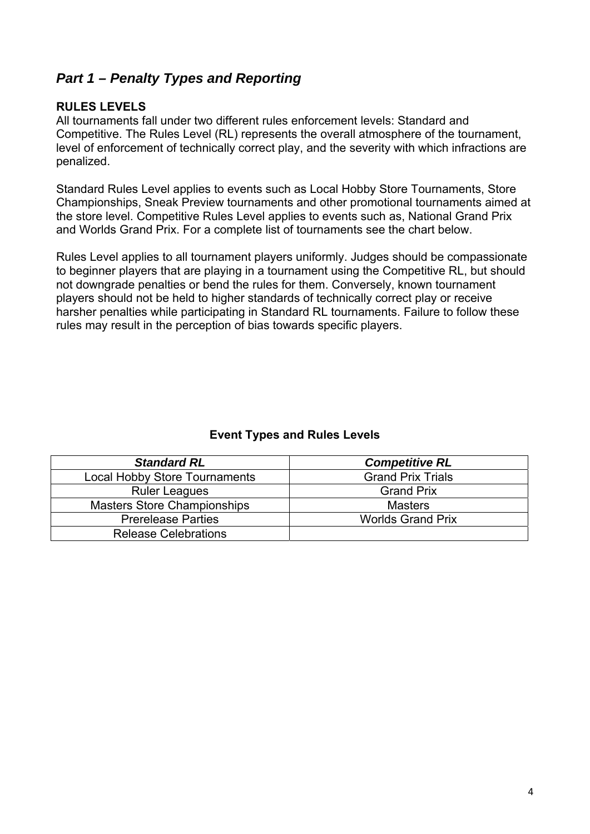## *Part 1 – Penalty Types and Reporting*

## **RULES LEVELS**

All tournaments fall under two different rules enforcement levels: Standard and Competitive. The Rules Level (RL) represents the overall atmosphere of the tournament, level of enforcement of technically correct play, and the severity with which infractions are penalized.

Standard Rules Level applies to events such as Local Hobby Store Tournaments, Store Championships, Sneak Preview tournaments and other promotional tournaments aimed at the store level. Competitive Rules Level applies to events such as, National Grand Prix and Worlds Grand Prix. For a complete list of tournaments see the chart below.

Rules Level applies to all tournament players uniformly. Judges should be compassionate to beginner players that are playing in a tournament using the Competitive RL, but should not downgrade penalties or bend the rules for them. Conversely, known tournament players should not be held to higher standards of technically correct play or receive harsher penalties while participating in Standard RL tournaments. Failure to follow these rules may result in the perception of bias towards specific players.

## **Event Types and Rules Levels**

| <b>Standard RL</b>                   | <b>Competitive RL</b>    |
|--------------------------------------|--------------------------|
| <b>Local Hobby Store Tournaments</b> | <b>Grand Prix Trials</b> |
| <b>Ruler Leagues</b>                 | <b>Grand Prix</b>        |
| <b>Masters Store Championships</b>   | <b>Masters</b>           |
| <b>Prerelease Parties</b>            | <b>Worlds Grand Prix</b> |
| <b>Release Celebrations</b>          |                          |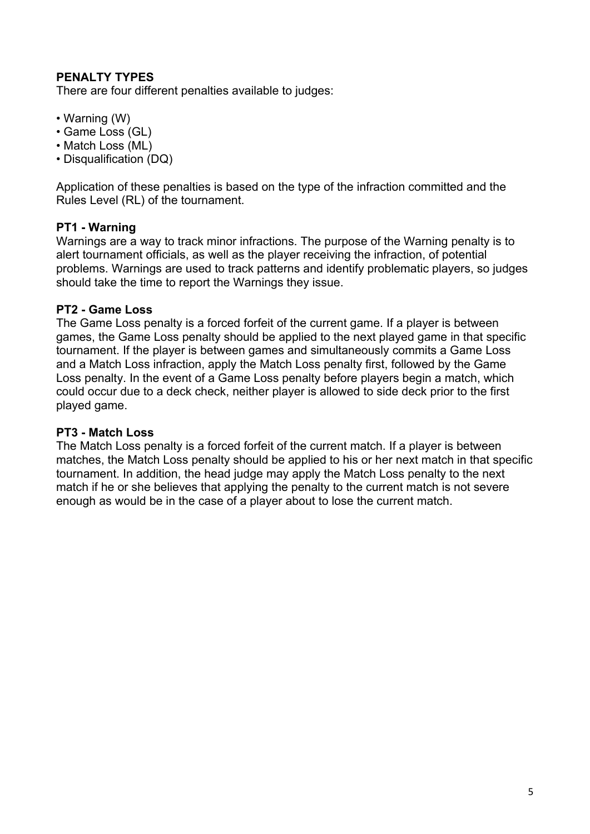## **PENALTY TYPES**

There are four different penalties available to judges:

- Warning (W)
- Game Loss (GL)
- Match Loss (ML)
- Disqualification (DQ)

Application of these penalties is based on the type of the infraction committed and the Rules Level (RL) of the tournament.

#### **PT1 - Warning**

Warnings are a way to track minor infractions. The purpose of the Warning penalty is to alert tournament officials, as well as the player receiving the infraction, of potential problems. Warnings are used to track patterns and identify problematic players, so judges should take the time to report the Warnings they issue.

#### **PT2 - Game Loss**

The Game Loss penalty is a forced forfeit of the current game. If a player is between games, the Game Loss penalty should be applied to the next played game in that specific tournament. If the player is between games and simultaneously commits a Game Loss and a Match Loss infraction, apply the Match Loss penalty first, followed by the Game Loss penalty. In the event of a Game Loss penalty before players begin a match, which could occur due to a deck check, neither player is allowed to side deck prior to the first played game.

#### **PT3 - Match Loss**

The Match Loss penalty is a forced forfeit of the current match. If a player is between matches, the Match Loss penalty should be applied to his or her next match in that specific tournament. In addition, the head judge may apply the Match Loss penalty to the next match if he or she believes that applying the penalty to the current match is not severe enough as would be in the case of a player about to lose the current match.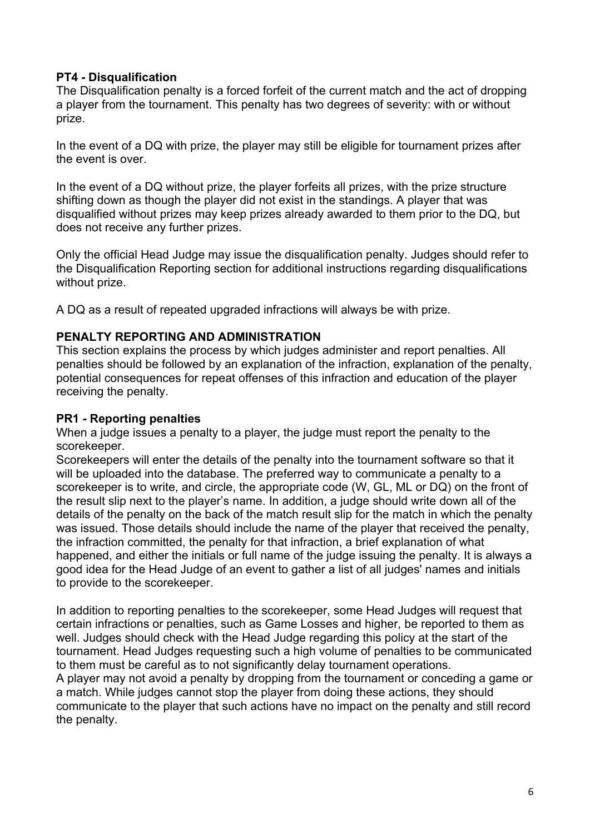## **PT4 - Disqualification**

The Disqualification penalty is a forced forfeit of the current match and the act of dropping a player from the tournament. This penalty has two degrees of severity: with or without prize.

In the event of a DQ with prize, the player may still be eligible for tournament prizes after the event is over.

In the event of a DQ without prize, the player forfeits all prizes, with the prize structure shifting down as though the player did not exist in the standings. A player that was disqualified without prizes may keep prizes already awarded to them prior to the DQ, but does not receive any further prizes.

Only the official Head Judge may issue the disqualification penalty. Judges should refer to the Disqualification Reporting section for additional instructions regarding disqualifications without prize.

A DQ as a result of repeated upgraded infractions will always be with prize.

#### **PENALTY REPORTING AND ADMINISTRATION**

This section explains the process by which judges administer and report penalties. All penalties should be followed by an explanation of the infraction, explanation of the penalty, potential consequences for repeat offenses of this infraction and education of the player receiving the penalty.

#### **PR1 - Reporting penalties**

When a judge issues a penalty to a player, the judge must report the penalty to the scorekeeper.

Scorekeepers will enter the details of the penalty into the tournament software so that it will be uploaded into the database. The preferred way to communicate a penalty to a scorekeeper is to write, and circle, the appropriate code (W, GL, ML or DQ) on the front of the result slip next to the player's name. In addition, a judge should write down all of the details of the penalty on the back of the match result slip for the match in which the penalty was issued. Those details should include the name of the player that received the penalty, the infraction committed, the penalty for that infraction, a brief explanation of what happened, and either the initials or full name of the judge issuing the penalty. It is always a good idea for the Head Judge of an event to gather a list of all judges' names and initials to provide to the scorekeeper.

In addition to reporting penalties to the scorekeeper, some Head Judges will request that certain infractions or penalties, such as Game Losses and higher, be reported to them as well. Judges should check with the Head Judge regarding this policy at the start of the tournament. Head Judges requesting such a high volume of penalties to be communicated to them must be careful as to not significantly delay tournament operations.

A player may not avoid a penalty by dropping from the tournament or conceding a game or a match. While judges cannot stop the player from doing these actions, they should communicate to the player that such actions have no impact on the penalty and still record the penalty.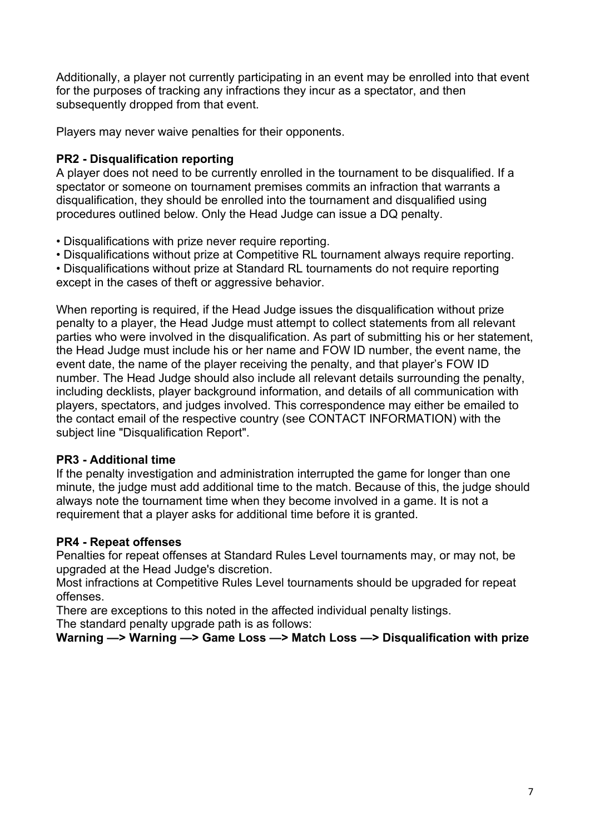Additionally, a player not currently participating in an event may be enrolled into that event for the purposes of tracking any infractions they incur as a spectator, and then subsequently dropped from that event.

Players may never waive penalties for their opponents.

## **PR2 - Disqualification reporting**

A player does not need to be currently enrolled in the tournament to be disqualified. If a spectator or someone on tournament premises commits an infraction that warrants a disqualification, they should be enrolled into the tournament and disqualified using procedures outlined below. Only the Head Judge can issue a DQ penalty.

- Disqualifications with prize never require reporting.
- Disqualifications without prize at Competitive RL tournament always require reporting.

• Disqualifications without prize at Standard RL tournaments do not require reporting except in the cases of theft or aggressive behavior.

When reporting is required, if the Head Judge issues the disqualification without prize penalty to a player, the Head Judge must attempt to collect statements from all relevant parties who were involved in the disqualification. As part of submitting his or her statement, the Head Judge must include his or her name and FOW ID number, the event name, the event date, the name of the player receiving the penalty, and that player's FOW ID number. The Head Judge should also include all relevant details surrounding the penalty, including decklists, player background information, and details of all communication with players, spectators, and judges involved. This correspondence may either be emailed to the contact email of the respective country (see CONTACT INFORMATION) with the subject line "Disqualification Report".

## **PR3 - Additional time**

If the penalty investigation and administration interrupted the game for longer than one minute, the judge must add additional time to the match. Because of this, the judge should always note the tournament time when they become involved in a game. It is not a requirement that a player asks for additional time before it is granted.

## **PR4 - Repeat offenses**

Penalties for repeat offenses at Standard Rules Level tournaments may, or may not, be upgraded at the Head Judge's discretion.

Most infractions at Competitive Rules Level tournaments should be upgraded for repeat offenses.

There are exceptions to this noted in the affected individual penalty listings.

The standard penalty upgrade path is as follows:

**Warning —> Warning —> Game Loss —> Match Loss —> Disqualification with prize**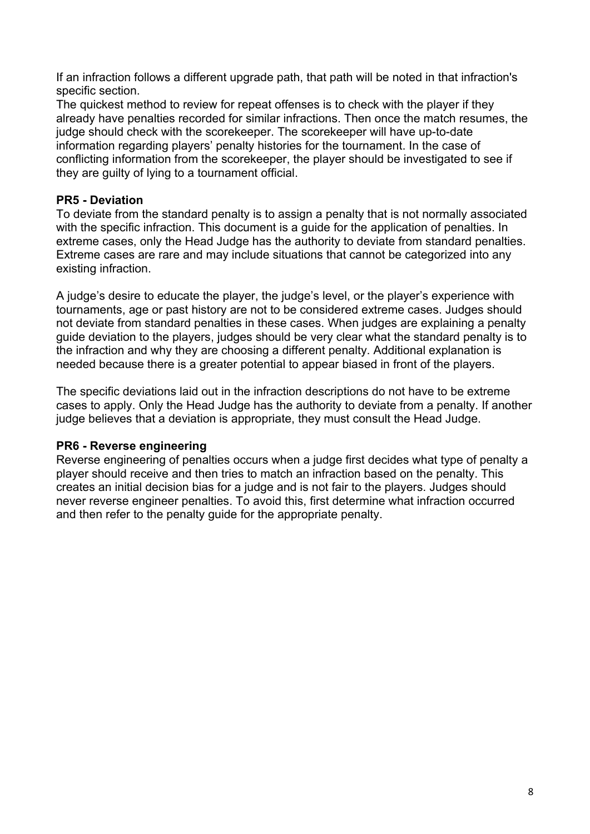If an infraction follows a different upgrade path, that path will be noted in that infraction's specific section.

The quickest method to review for repeat offenses is to check with the player if they already have penalties recorded for similar infractions. Then once the match resumes, the judge should check with the scorekeeper. The scorekeeper will have up-to-date information regarding players' penalty histories for the tournament. In the case of conflicting information from the scorekeeper, the player should be investigated to see if they are guilty of lying to a tournament official.

## **PR5 - Deviation**

To deviate from the standard penalty is to assign a penalty that is not normally associated with the specific infraction. This document is a guide for the application of penalties. In extreme cases, only the Head Judge has the authority to deviate from standard penalties. Extreme cases are rare and may include situations that cannot be categorized into any existing infraction.

A judge's desire to educate the player, the judge's level, or the player's experience with tournaments, age or past history are not to be considered extreme cases. Judges should not deviate from standard penalties in these cases. When judges are explaining a penalty guide deviation to the players, judges should be very clear what the standard penalty is to the infraction and why they are choosing a different penalty. Additional explanation is needed because there is a greater potential to appear biased in front of the players.

The specific deviations laid out in the infraction descriptions do not have to be extreme cases to apply. Only the Head Judge has the authority to deviate from a penalty. If another judge believes that a deviation is appropriate, they must consult the Head Judge.

## **PR6 - Reverse engineering**

Reverse engineering of penalties occurs when a judge first decides what type of penalty a player should receive and then tries to match an infraction based on the penalty. This creates an initial decision bias for a judge and is not fair to the players. Judges should never reverse engineer penalties. To avoid this, first determine what infraction occurred and then refer to the penalty guide for the appropriate penalty.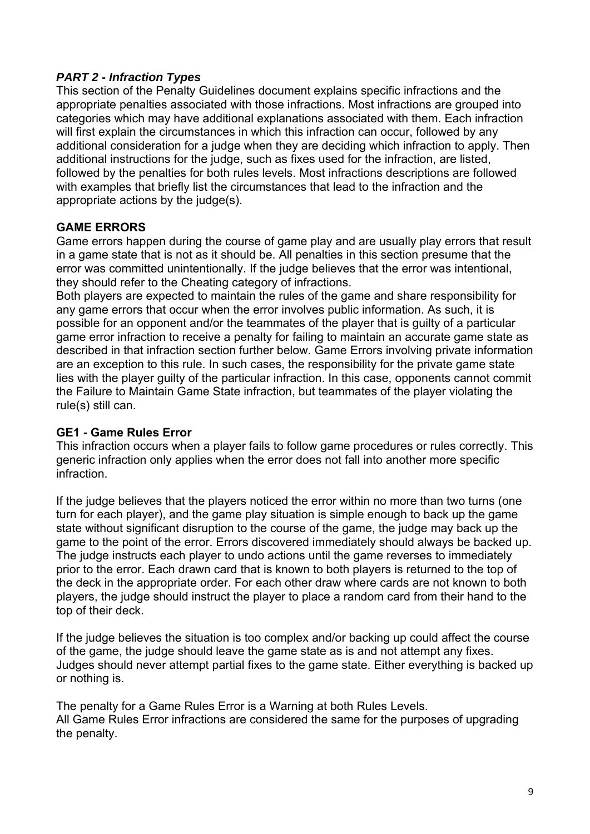## *PART 2 - Infraction Types*

This section of the Penalty Guidelines document explains specific infractions and the appropriate penalties associated with those infractions. Most infractions are grouped into categories which may have additional explanations associated with them. Each infraction will first explain the circumstances in which this infraction can occur, followed by any additional consideration for a judge when they are deciding which infraction to apply. Then additional instructions for the judge, such as fixes used for the infraction, are listed, followed by the penalties for both rules levels. Most infractions descriptions are followed with examples that briefly list the circumstances that lead to the infraction and the appropriate actions by the judge(s).

#### **GAME ERRORS**

Game errors happen during the course of game play and are usually play errors that result in a game state that is not as it should be. All penalties in this section presume that the error was committed unintentionally. If the judge believes that the error was intentional, they should refer to the Cheating category of infractions.

Both players are expected to maintain the rules of the game and share responsibility for any game errors that occur when the error involves public information. As such, it is possible for an opponent and/or the teammates of the player that is guilty of a particular game error infraction to receive a penalty for failing to maintain an accurate game state as described in that infraction section further below. Game Errors involving private information are an exception to this rule. In such cases, the responsibility for the private game state lies with the player guilty of the particular infraction. In this case, opponents cannot commit the Failure to Maintain Game State infraction, but teammates of the player violating the rule(s) still can.

#### **GE1 - Game Rules Error**

This infraction occurs when a player fails to follow game procedures or rules correctly. This generic infraction only applies when the error does not fall into another more specific infraction.

If the judge believes that the players noticed the error within no more than two turns (one turn for each player), and the game play situation is simple enough to back up the game state without significant disruption to the course of the game, the judge may back up the game to the point of the error. Errors discovered immediately should always be backed up. The judge instructs each player to undo actions until the game reverses to immediately prior to the error. Each drawn card that is known to both players is returned to the top of the deck in the appropriate order. For each other draw where cards are not known to both players, the judge should instruct the player to place a random card from their hand to the top of their deck.

If the judge believes the situation is too complex and/or backing up could affect the course of the game, the judge should leave the game state as is and not attempt any fixes. Judges should never attempt partial fixes to the game state. Either everything is backed up or nothing is.

The penalty for a Game Rules Error is a Warning at both Rules Levels. All Game Rules Error infractions are considered the same for the purposes of upgrading the penalty.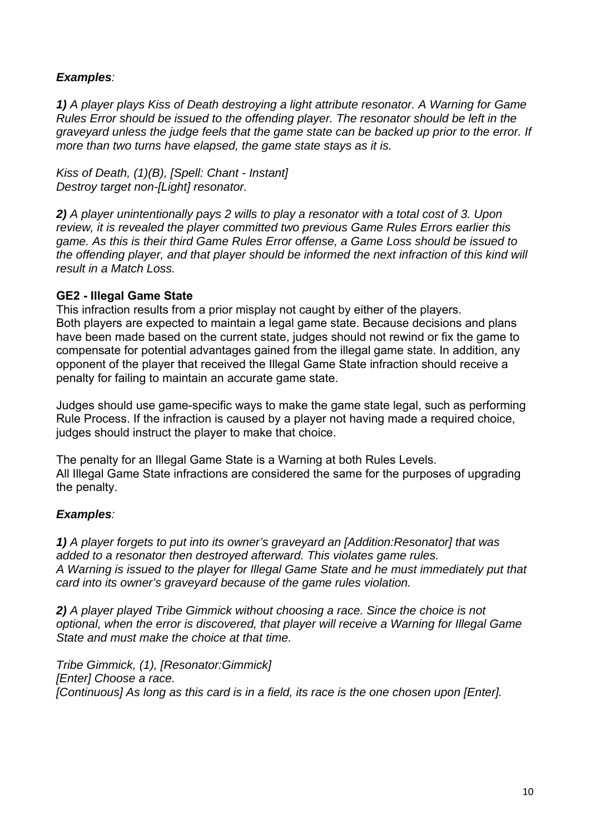## *Examples:*

*1) A player plays Kiss of Death destroying a light attribute resonator. A Warning for Game Rules Error should be issued to the offending player. The resonator should be left in the graveyard unless the judge feels that the game state can be backed up prior to the error. If more than two turns have elapsed, the game state stays as it is.* 

*Kiss of Death, (1)(B), [Spell: Chant - Instant] Destroy target non-[Light] resonator.* 

*2) A player unintentionally pays 2 wills to play a resonator with a total cost of 3. Upon review, it is revealed the player committed two previous Game Rules Errors earlier this game. As this is their third Game Rules Error offense, a Game Loss should be issued to the offending player, and that player should be informed the next infraction of this kind will result in a Match Loss.* 

## **GE2 - Illegal Game State**

This infraction results from a prior misplay not caught by either of the players. Both players are expected to maintain a legal game state. Because decisions and plans have been made based on the current state, judges should not rewind or fix the game to compensate for potential advantages gained from the illegal game state. In addition, any opponent of the player that received the Illegal Game State infraction should receive a penalty for failing to maintain an accurate game state.

Judges should use game-specific ways to make the game state legal, such as performing Rule Process. If the infraction is caused by a player not having made a required choice, judges should instruct the player to make that choice.

The penalty for an Illegal Game State is a Warning at both Rules Levels. All Illegal Game State infractions are considered the same for the purposes of upgrading the penalty.

## *Examples:*

*1) A player forgets to put into its owner's graveyard an [Addition:Resonator] that was added to a resonator then destroyed afterward. This violates game rules. A Warning is issued to the player for Illegal Game State and he must immediately put that card into its owner's graveyard because of the game rules violation.* 

*2) A player played Tribe Gimmick without choosing a race. Since the choice is not optional, when the error is discovered, that player will receive a Warning for Illegal Game State and must make the choice at that time.* 

*Tribe Gimmick, (1), [Resonator:Gimmick] [Enter] Choose a race. [Continuous] As long as this card is in a field, its race is the one chosen upon [Enter].*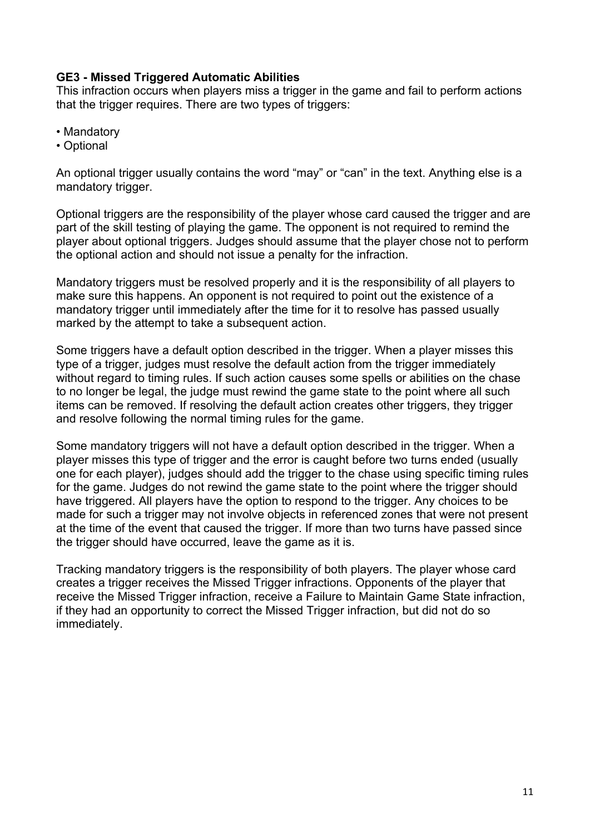## **GE3 - Missed Triggered Automatic Abilities**

This infraction occurs when players miss a trigger in the game and fail to perform actions that the trigger requires. There are two types of triggers:

- Mandatory
- Optional

An optional trigger usually contains the word "may" or "can" in the text. Anything else is a mandatory trigger.

Optional triggers are the responsibility of the player whose card caused the trigger and are part of the skill testing of playing the game. The opponent is not required to remind the player about optional triggers. Judges should assume that the player chose not to perform the optional action and should not issue a penalty for the infraction.

Mandatory triggers must be resolved properly and it is the responsibility of all players to make sure this happens. An opponent is not required to point out the existence of a mandatory trigger until immediately after the time for it to resolve has passed usually marked by the attempt to take a subsequent action.

Some triggers have a default option described in the trigger. When a player misses this type of a trigger, judges must resolve the default action from the trigger immediately without regard to timing rules. If such action causes some spells or abilities on the chase to no longer be legal, the judge must rewind the game state to the point where all such items can be removed. If resolving the default action creates other triggers, they trigger and resolve following the normal timing rules for the game.

Some mandatory triggers will not have a default option described in the trigger. When a player misses this type of trigger and the error is caught before two turns ended (usually one for each player), judges should add the trigger to the chase using specific timing rules for the game. Judges do not rewind the game state to the point where the trigger should have triggered. All players have the option to respond to the trigger. Any choices to be made for such a trigger may not involve objects in referenced zones that were not present at the time of the event that caused the trigger. If more than two turns have passed since the trigger should have occurred, leave the game as it is.

Tracking mandatory triggers is the responsibility of both players. The player whose card creates a trigger receives the Missed Trigger infractions. Opponents of the player that receive the Missed Trigger infraction, receive a Failure to Maintain Game State infraction, if they had an opportunity to correct the Missed Trigger infraction, but did not do so immediately.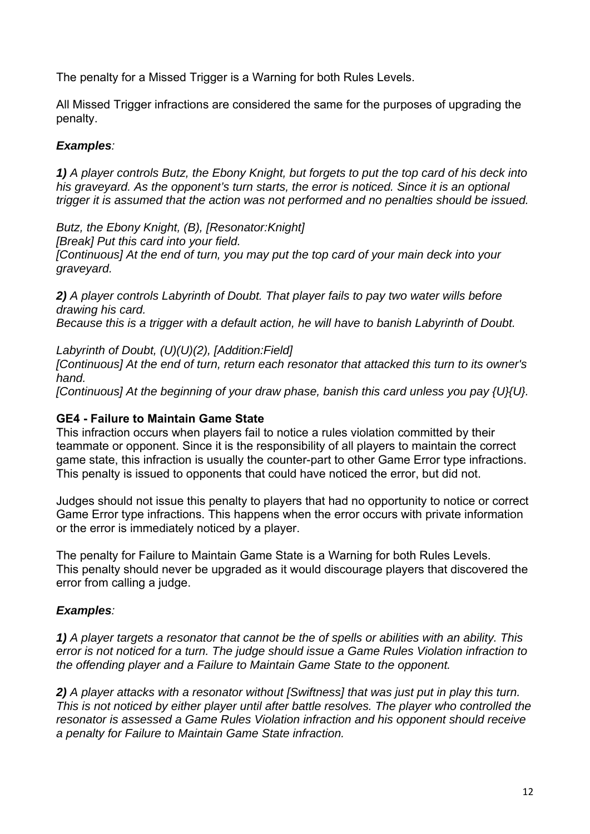The penalty for a Missed Trigger is a Warning for both Rules Levels.

All Missed Trigger infractions are considered the same for the purposes of upgrading the penalty.

## *Examples:*

*1) A player controls Butz, the Ebony Knight, but forgets to put the top card of his deck into his graveyard. As the opponent's turn starts, the error is noticed. Since it is an optional trigger it is assumed that the action was not performed and no penalties should be issued.* 

*Butz, the Ebony Knight, (B), [Resonator:Knight] [Break] Put this card into your field. [Continuous] At the end of turn, you may put the top card of your main deck into your graveyard.* 

*2) A player controls Labyrinth of Doubt. That player fails to pay two water wills before drawing his card. Because this is a trigger with a default action, he will have to banish Labyrinth of Doubt.* 

*Labyrinth of Doubt, (U)(U)(2), [Addition:Field]* 

*[Continuous] At the end of turn, return each resonator that attacked this turn to its owner's hand.* 

*[Continuous] At the beginning of your draw phase, banish this card unless you pay {U}{U}.* 

## **GE4 - Failure to Maintain Game State**

This infraction occurs when players fail to notice a rules violation committed by their teammate or opponent. Since it is the responsibility of all players to maintain the correct game state, this infraction is usually the counter-part to other Game Error type infractions. This penalty is issued to opponents that could have noticed the error, but did not.

Judges should not issue this penalty to players that had no opportunity to notice or correct Game Error type infractions. This happens when the error occurs with private information or the error is immediately noticed by a player.

The penalty for Failure to Maintain Game State is a Warning for both Rules Levels. This penalty should never be upgraded as it would discourage players that discovered the error from calling a judge.

## *Examples:*

*1) A player targets a resonator that cannot be the of spells or abilities with an ability. This error is not noticed for a turn. The judge should issue a Game Rules Violation infraction to the offending player and a Failure to Maintain Game State to the opponent.* 

*2) A player attacks with a resonator without [Swiftness] that was just put in play this turn. This is not noticed by either player until after battle resolves. The player who controlled the resonator is assessed a Game Rules Violation infraction and his opponent should receive a penalty for Failure to Maintain Game State infraction.*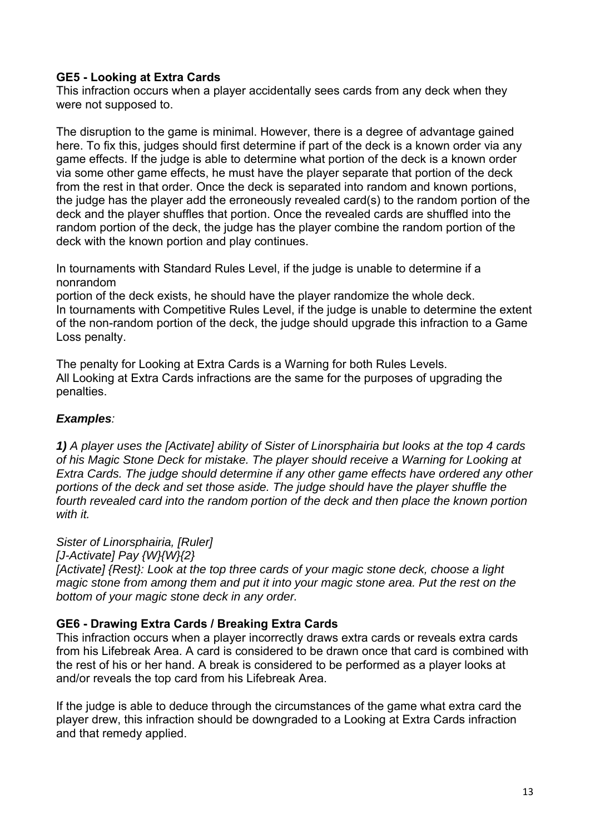## **GE5 - Looking at Extra Cards**

This infraction occurs when a player accidentally sees cards from any deck when they were not supposed to.

The disruption to the game is minimal. However, there is a degree of advantage gained here. To fix this, judges should first determine if part of the deck is a known order via any game effects. If the judge is able to determine what portion of the deck is a known order via some other game effects, he must have the player separate that portion of the deck from the rest in that order. Once the deck is separated into random and known portions, the judge has the player add the erroneously revealed card(s) to the random portion of the deck and the player shuffles that portion. Once the revealed cards are shuffled into the random portion of the deck, the judge has the player combine the random portion of the deck with the known portion and play continues.

In tournaments with Standard Rules Level, if the judge is unable to determine if a nonrandom

portion of the deck exists, he should have the player randomize the whole deck. In tournaments with Competitive Rules Level, if the judge is unable to determine the extent of the non-random portion of the deck, the judge should upgrade this infraction to a Game Loss penalty.

The penalty for Looking at Extra Cards is a Warning for both Rules Levels. All Looking at Extra Cards infractions are the same for the purposes of upgrading the penalties.

#### *Examples:*

*1) A player uses the [Activate] ability of Sister of Linorsphairia but looks at the top 4 cards of his Magic Stone Deck for mistake. The player should receive a Warning for Looking at Extra Cards. The judge should determine if any other game effects have ordered any other portions of the deck and set those aside. The judge should have the player shuffle the*  fourth revealed card into the random portion of the deck and then place the known portion *with it.* 

*Sister of Linorsphairia, [Ruler]* 

*[J-Activate] Pay {W}{W}{2}* 

*[Activate] {Rest}: Look at the top three cards of your magic stone deck, choose a light magic stone from among them and put it into your magic stone area. Put the rest on the bottom of your magic stone deck in any order.* 

#### **GE6 - Drawing Extra Cards / Breaking Extra Cards**

This infraction occurs when a player incorrectly draws extra cards or reveals extra cards from his Lifebreak Area. A card is considered to be drawn once that card is combined with the rest of his or her hand. A break is considered to be performed as a player looks at and/or reveals the top card from his Lifebreak Area.

If the judge is able to deduce through the circumstances of the game what extra card the player drew, this infraction should be downgraded to a Looking at Extra Cards infraction and that remedy applied.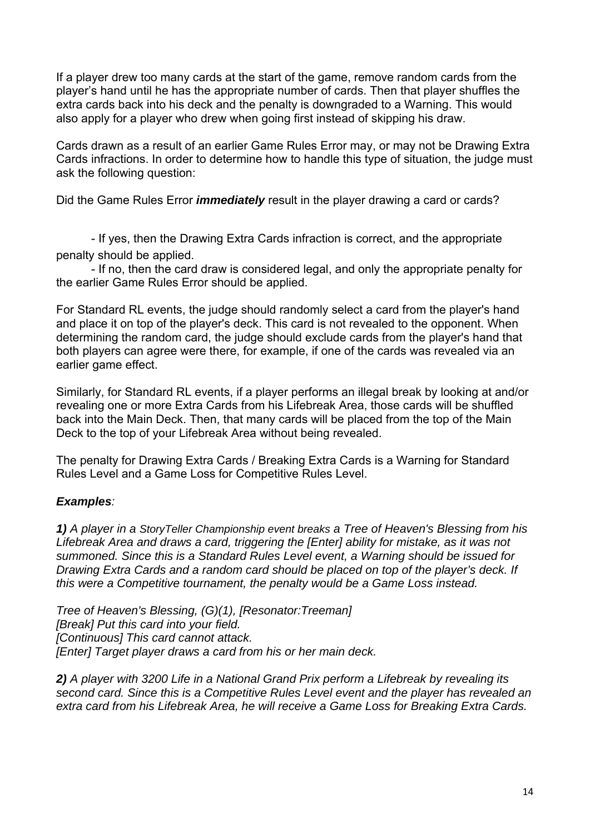If a player drew too many cards at the start of the game, remove random cards from the player's hand until he has the appropriate number of cards. Then that player shuffles the extra cards back into his deck and the penalty is downgraded to a Warning. This would also apply for a player who drew when going first instead of skipping his draw.

Cards drawn as a result of an earlier Game Rules Error may, or may not be Drawing Extra Cards infractions. In order to determine how to handle this type of situation, the judge must ask the following question:

Did the Game Rules Error *immediately* result in the player drawing a card or cards?

- If yes, then the Drawing Extra Cards infraction is correct, and the appropriate penalty should be applied.

- If no, then the card draw is considered legal, and only the appropriate penalty for the earlier Game Rules Error should be applied.

For Standard RL events, the judge should randomly select a card from the player's hand and place it on top of the player's deck. This card is not revealed to the opponent. When determining the random card, the judge should exclude cards from the player's hand that both players can agree were there, for example, if one of the cards was revealed via an earlier game effect.

Similarly, for Standard RL events, if a player performs an illegal break by looking at and/or revealing one or more Extra Cards from his Lifebreak Area, those cards will be shuffled back into the Main Deck. Then, that many cards will be placed from the top of the Main Deck to the top of your Lifebreak Area without being revealed.

The penalty for Drawing Extra Cards / Breaking Extra Cards is a Warning for Standard Rules Level and a Game Loss for Competitive Rules Level.

## *Examples:*

*1) A player in a StoryTeller Championship event breaks a Tree of Heaven's Blessing from his Lifebreak Area and draws a card, triggering the [Enter] ability for mistake, as it was not summoned. Since this is a Standard Rules Level event, a Warning should be issued for Drawing Extra Cards and a random card should be placed on top of the player's deck. If this were a Competitive tournament, the penalty would be a Game Loss instead.* 

*Tree of Heaven's Blessing, (G)(1), [Resonator:Treeman] [Break] Put this card into your field. [Continuous] This card cannot attack. [Enter] Target player draws a card from his or her main deck.* 

*2) A player with 3200 Life in a National Grand Prix perform a Lifebreak by revealing its second card. Since this is a Competitive Rules Level event and the player has revealed an extra card from his Lifebreak Area, he will receive a Game Loss for Breaking Extra Cards.*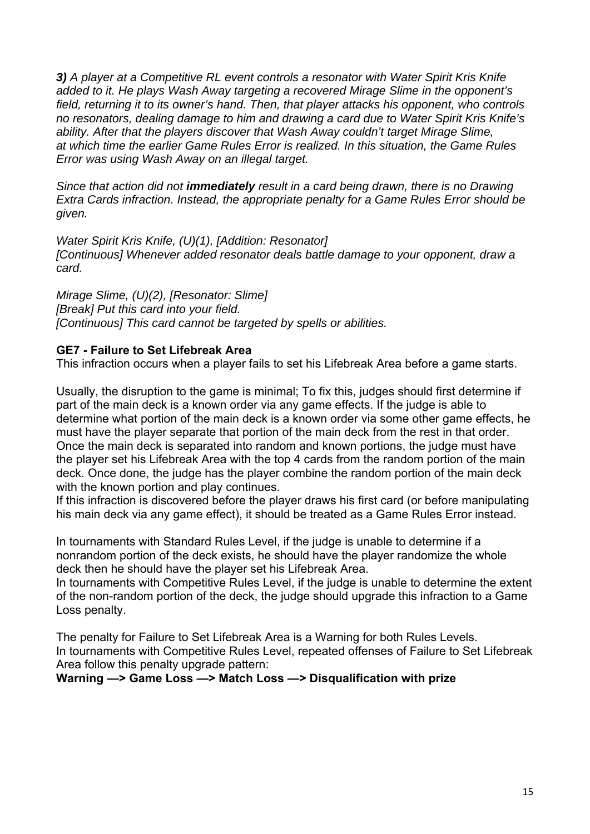*3) A player at a Competitive RL event controls a resonator with Water Spirit Kris Knife added to it. He plays Wash Away targeting a recovered Mirage Slime in the opponent's field, returning it to its owner's hand. Then, that player attacks his opponent, who controls no resonators, dealing damage to him and drawing a card due to Water Spirit Kris Knife's ability. After that the players discover that Wash Away couldn't target Mirage Slime, at which time the earlier Game Rules Error is realized. In this situation, the Game Rules Error was using Wash Away on an illegal target.* 

*Since that action did not immediately result in a card being drawn, there is no Drawing Extra Cards infraction. Instead, the appropriate penalty for a Game Rules Error should be given.* 

*Water Spirit Kris Knife, (U)(1), [Addition: Resonator] [Continuous] Whenever added resonator deals battle damage to your opponent, draw a card.* 

*Mirage Slime, (U)(2), [Resonator: Slime] [Break] Put this card into your field. [Continuous] This card cannot be targeted by spells or abilities.* 

#### **GE7 - Failure to Set Lifebreak Area**

This infraction occurs when a player fails to set his Lifebreak Area before a game starts.

Usually, the disruption to the game is minimal; To fix this, judges should first determine if part of the main deck is a known order via any game effects. If the judge is able to determine what portion of the main deck is a known order via some other game effects, he must have the player separate that portion of the main deck from the rest in that order. Once the main deck is separated into random and known portions, the judge must have the player set his Lifebreak Area with the top 4 cards from the random portion of the main deck. Once done, the judge has the player combine the random portion of the main deck with the known portion and play continues.

If this infraction is discovered before the player draws his first card (or before manipulating his main deck via any game effect), it should be treated as a Game Rules Error instead.

In tournaments with Standard Rules Level, if the judge is unable to determine if a nonrandom portion of the deck exists, he should have the player randomize the whole deck then he should have the player set his Lifebreak Area.

In tournaments with Competitive Rules Level, if the judge is unable to determine the extent of the non-random portion of the deck, the judge should upgrade this infraction to a Game Loss penalty.

The penalty for Failure to Set Lifebreak Area is a Warning for both Rules Levels. In tournaments with Competitive Rules Level, repeated offenses of Failure to Set Lifebreak Area follow this penalty upgrade pattern:

**Warning —> Game Loss —> Match Loss —> Disqualification with prize**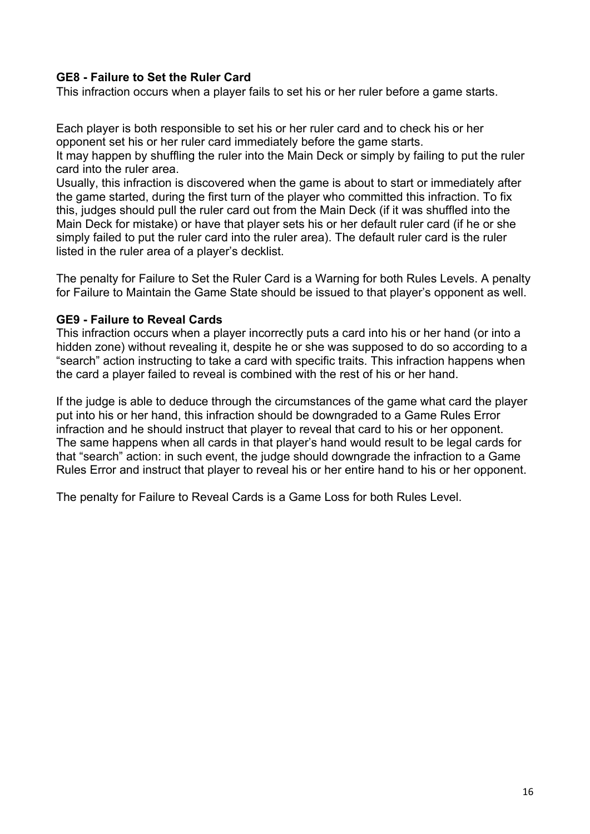## **GE8 - Failure to Set the Ruler Card**

This infraction occurs when a player fails to set his or her ruler before a game starts.

Each player is both responsible to set his or her ruler card and to check his or her opponent set his or her ruler card immediately before the game starts.

It may happen by shuffling the ruler into the Main Deck or simply by failing to put the ruler card into the ruler area.

Usually, this infraction is discovered when the game is about to start or immediately after the game started, during the first turn of the player who committed this infraction. To fix this, judges should pull the ruler card out from the Main Deck (if it was shuffled into the Main Deck for mistake) or have that player sets his or her default ruler card (if he or she simply failed to put the ruler card into the ruler area). The default ruler card is the ruler listed in the ruler area of a player's decklist.

The penalty for Failure to Set the Ruler Card is a Warning for both Rules Levels. A penalty for Failure to Maintain the Game State should be issued to that player's opponent as well.

#### **GE9 - Failure to Reveal Cards**

This infraction occurs when a player incorrectly puts a card into his or her hand (or into a hidden zone) without revealing it, despite he or she was supposed to do so according to a "search" action instructing to take a card with specific traits. This infraction happens when the card a player failed to reveal is combined with the rest of his or her hand.

If the judge is able to deduce through the circumstances of the game what card the player put into his or her hand, this infraction should be downgraded to a Game Rules Error infraction and he should instruct that player to reveal that card to his or her opponent. The same happens when all cards in that player's hand would result to be legal cards for that "search" action: in such event, the judge should downgrade the infraction to a Game Rules Error and instruct that player to reveal his or her entire hand to his or her opponent.

The penalty for Failure to Reveal Cards is a Game Loss for both Rules Level.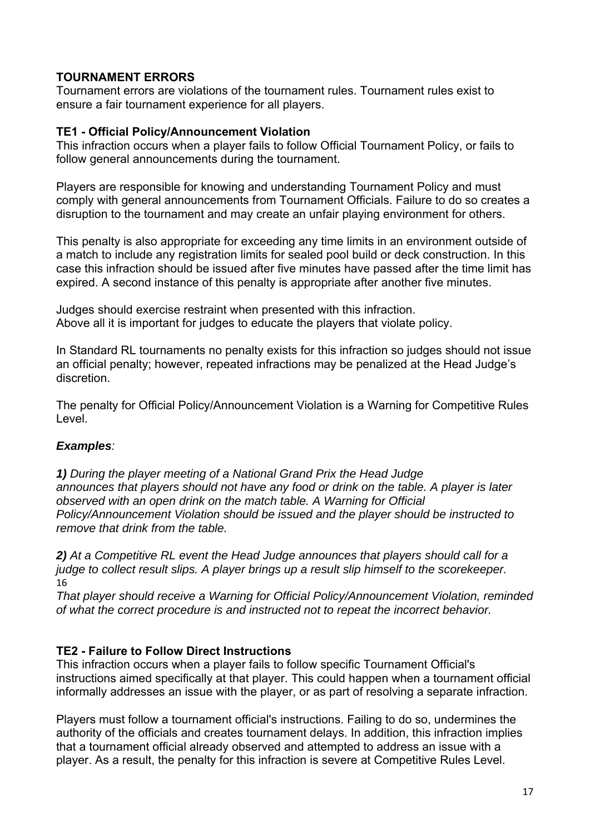## **TOURNAMENT ERRORS**

Tournament errors are violations of the tournament rules. Tournament rules exist to ensure a fair tournament experience for all players.

#### **TE1 - Official Policy/Announcement Violation**

This infraction occurs when a player fails to follow Official Tournament Policy, or fails to follow general announcements during the tournament.

Players are responsible for knowing and understanding Tournament Policy and must comply with general announcements from Tournament Officials. Failure to do so creates a disruption to the tournament and may create an unfair playing environment for others.

This penalty is also appropriate for exceeding any time limits in an environment outside of a match to include any registration limits for sealed pool build or deck construction. In this case this infraction should be issued after five minutes have passed after the time limit has expired. A second instance of this penalty is appropriate after another five minutes.

Judges should exercise restraint when presented with this infraction. Above all it is important for judges to educate the players that violate policy.

In Standard RL tournaments no penalty exists for this infraction so judges should not issue an official penalty; however, repeated infractions may be penalized at the Head Judge's discretion.

The penalty for Official Policy/Announcement Violation is a Warning for Competitive Rules Level.

## *Examples:*

*1) During the player meeting of a National Grand Prix the Head Judge announces that players should not have any food or drink on the table. A player is later observed with an open drink on the match table. A Warning for Official Policy/Announcement Violation should be issued and the player should be instructed to remove that drink from the table.* 

*2) At a Competitive RL event the Head Judge announces that players should call for a judge to collect result slips. A player brings up a result slip himself to the scorekeeper.*  16

*That player should receive a Warning for Official Policy/Announcement Violation, reminded of what the correct procedure is and instructed not to repeat the incorrect behavior.* 

## **TE2 - Failure to Follow Direct Instructions**

This infraction occurs when a player fails to follow specific Tournament Official's instructions aimed specifically at that player. This could happen when a tournament official informally addresses an issue with the player, or as part of resolving a separate infraction.

Players must follow a tournament official's instructions. Failing to do so, undermines the authority of the officials and creates tournament delays. In addition, this infraction implies that a tournament official already observed and attempted to address an issue with a player. As a result, the penalty for this infraction is severe at Competitive Rules Level.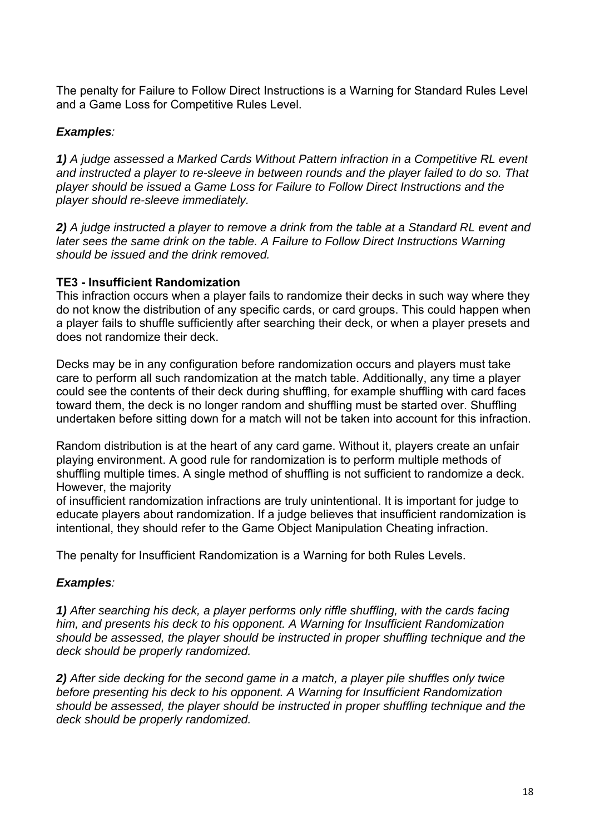The penalty for Failure to Follow Direct Instructions is a Warning for Standard Rules Level and a Game Loss for Competitive Rules Level.

## *Examples:*

*1) A judge assessed a Marked Cards Without Pattern infraction in a Competitive RL event and instructed a player to re-sleeve in between rounds and the player failed to do so. That player should be issued a Game Loss for Failure to Follow Direct Instructions and the player should re-sleeve immediately.* 

*2) A judge instructed a player to remove a drink from the table at a Standard RL event and later sees the same drink on the table. A Failure to Follow Direct Instructions Warning should be issued and the drink removed.* 

## **TE3 - Insufficient Randomization**

This infraction occurs when a player fails to randomize their decks in such way where they do not know the distribution of any specific cards, or card groups. This could happen when a player fails to shuffle sufficiently after searching their deck, or when a player presets and does not randomize their deck.

Decks may be in any configuration before randomization occurs and players must take care to perform all such randomization at the match table. Additionally, any time a player could see the contents of their deck during shuffling, for example shuffling with card faces toward them, the deck is no longer random and shuffling must be started over. Shuffling undertaken before sitting down for a match will not be taken into account for this infraction.

Random distribution is at the heart of any card game. Without it, players create an unfair playing environment. A good rule for randomization is to perform multiple methods of shuffling multiple times. A single method of shuffling is not sufficient to randomize a deck. However, the majority

of insufficient randomization infractions are truly unintentional. It is important for judge to educate players about randomization. If a judge believes that insufficient randomization is intentional, they should refer to the Game Object Manipulation Cheating infraction.

The penalty for Insufficient Randomization is a Warning for both Rules Levels.

## *Examples:*

*1) After searching his deck, a player performs only riffle shuffling, with the cards facing him, and presents his deck to his opponent. A Warning for Insufficient Randomization should be assessed, the player should be instructed in proper shuffling technique and the deck should be properly randomized.* 

*2) After side decking for the second game in a match, a player pile shuffles only twice before presenting his deck to his opponent. A Warning for Insufficient Randomization should be assessed, the player should be instructed in proper shuffling technique and the deck should be properly randomized.*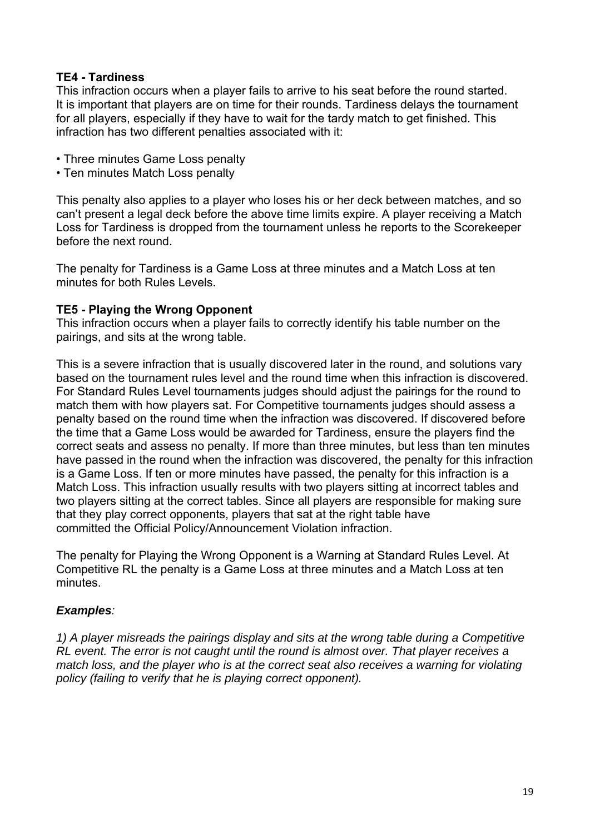## **TE4 - Tardiness**

This infraction occurs when a player fails to arrive to his seat before the round started. It is important that players are on time for their rounds. Tardiness delays the tournament for all players, especially if they have to wait for the tardy match to get finished. This infraction has two different penalties associated with it:

- Three minutes Game Loss penalty
- Ten minutes Match Loss penalty

This penalty also applies to a player who loses his or her deck between matches, and so can't present a legal deck before the above time limits expire. A player receiving a Match Loss for Tardiness is dropped from the tournament unless he reports to the Scorekeeper before the next round.

The penalty for Tardiness is a Game Loss at three minutes and a Match Loss at ten minutes for both Rules Levels.

#### **TE5 - Playing the Wrong Opponent**

This infraction occurs when a player fails to correctly identify his table number on the pairings, and sits at the wrong table.

This is a severe infraction that is usually discovered later in the round, and solutions vary based on the tournament rules level and the round time when this infraction is discovered. For Standard Rules Level tournaments judges should adjust the pairings for the round to match them with how players sat. For Competitive tournaments judges should assess a penalty based on the round time when the infraction was discovered. If discovered before the time that a Game Loss would be awarded for Tardiness, ensure the players find the correct seats and assess no penalty. If more than three minutes, but less than ten minutes have passed in the round when the infraction was discovered, the penalty for this infraction is a Game Loss. If ten or more minutes have passed, the penalty for this infraction is a Match Loss. This infraction usually results with two players sitting at incorrect tables and two players sitting at the correct tables. Since all players are responsible for making sure that they play correct opponents, players that sat at the right table have committed the Official Policy/Announcement Violation infraction.

The penalty for Playing the Wrong Opponent is a Warning at Standard Rules Level. At Competitive RL the penalty is a Game Loss at three minutes and a Match Loss at ten minutes.

## *Examples:*

*1) A player misreads the pairings display and sits at the wrong table during a Competitive RL event. The error is not caught until the round is almost over. That player receives a match loss, and the player who is at the correct seat also receives a warning for violating policy (failing to verify that he is playing correct opponent).*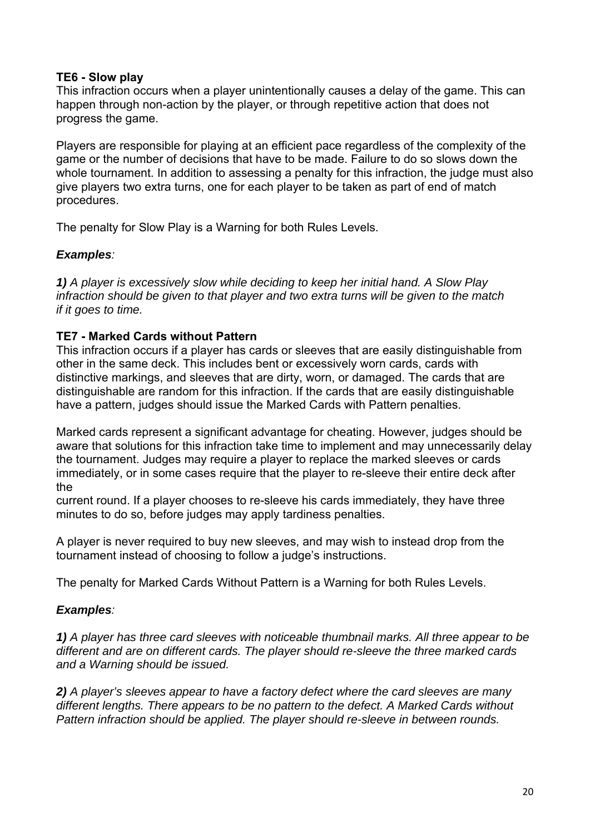#### **TE6 - Slow play**

This infraction occurs when a player unintentionally causes a delay of the game. This can happen through non-action by the player, or through repetitive action that does not progress the game.

Players are responsible for playing at an efficient pace regardless of the complexity of the game or the number of decisions that have to be made. Failure to do so slows down the whole tournament. In addition to assessing a penalty for this infraction, the judge must also give players two extra turns, one for each player to be taken as part of end of match procedures.

The penalty for Slow Play is a Warning for both Rules Levels.

## *Examples:*

*1) A player is excessively slow while deciding to keep her initial hand. A Slow Play infraction should be given to that player and two extra turns will be given to the match if it goes to time.* 

## **TE7 - Marked Cards without Pattern**

This infraction occurs if a player has cards or sleeves that are easily distinguishable from other in the same deck. This includes bent or excessively worn cards, cards with distinctive markings, and sleeves that are dirty, worn, or damaged. The cards that are distinguishable are random for this infraction. If the cards that are easily distinguishable have a pattern, judges should issue the Marked Cards with Pattern penalties.

Marked cards represent a significant advantage for cheating. However, judges should be aware that solutions for this infraction take time to implement and may unnecessarily delay the tournament. Judges may require a player to replace the marked sleeves or cards immediately, or in some cases require that the player to re-sleeve their entire deck after the

current round. If a player chooses to re-sleeve his cards immediately, they have three minutes to do so, before judges may apply tardiness penalties.

A player is never required to buy new sleeves, and may wish to instead drop from the tournament instead of choosing to follow a judge's instructions.

The penalty for Marked Cards Without Pattern is a Warning for both Rules Levels.

## *Examples:*

*1) A player has three card sleeves with noticeable thumbnail marks. All three appear to be different and are on different cards. The player should re-sleeve the three marked cards and a Warning should be issued.* 

*2) A player's sleeves appear to have a factory defect where the card sleeves are many different lengths. There appears to be no pattern to the defect. A Marked Cards without Pattern infraction should be applied. The player should re-sleeve in between rounds.*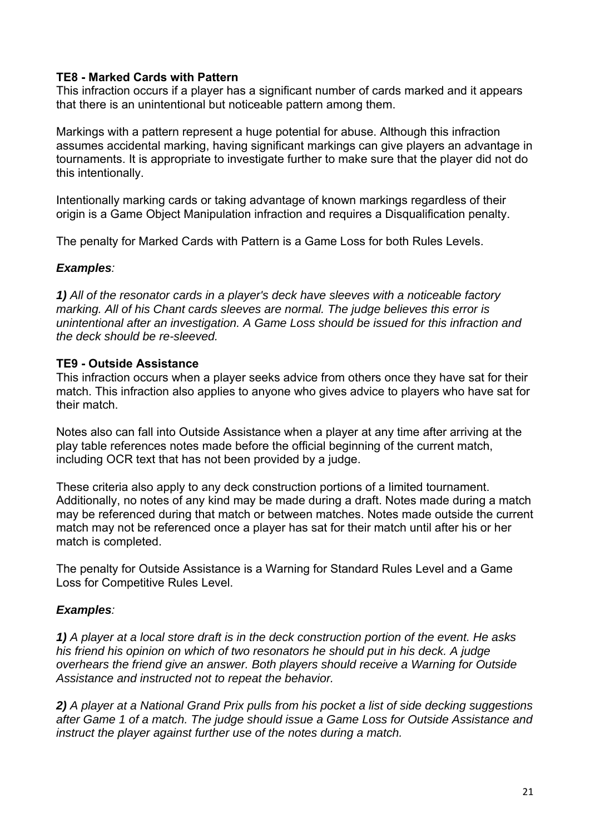#### **TE8 - Marked Cards with Pattern**

This infraction occurs if a player has a significant number of cards marked and it appears that there is an unintentional but noticeable pattern among them.

Markings with a pattern represent a huge potential for abuse. Although this infraction assumes accidental marking, having significant markings can give players an advantage in tournaments. It is appropriate to investigate further to make sure that the player did not do this intentionally.

Intentionally marking cards or taking advantage of known markings regardless of their origin is a Game Object Manipulation infraction and requires a Disqualification penalty.

The penalty for Marked Cards with Pattern is a Game Loss for both Rules Levels.

#### *Examples:*

*1) All of the resonator cards in a player's deck have sleeves with a noticeable factory marking. All of his Chant cards sleeves are normal. The judge believes this error is unintentional after an investigation. A Game Loss should be issued for this infraction and the deck should be re-sleeved.* 

#### **TE9 - Outside Assistance**

This infraction occurs when a player seeks advice from others once they have sat for their match. This infraction also applies to anyone who gives advice to players who have sat for their match.

Notes also can fall into Outside Assistance when a player at any time after arriving at the play table references notes made before the official beginning of the current match, including OCR text that has not been provided by a judge.

These criteria also apply to any deck construction portions of a limited tournament. Additionally, no notes of any kind may be made during a draft. Notes made during a match may be referenced during that match or between matches. Notes made outside the current match may not be referenced once a player has sat for their match until after his or her match is completed.

The penalty for Outside Assistance is a Warning for Standard Rules Level and a Game Loss for Competitive Rules Level.

## *Examples:*

*1) A player at a local store draft is in the deck construction portion of the event. He asks his friend his opinion on which of two resonators he should put in his deck. A judge overhears the friend give an answer. Both players should receive a Warning for Outside Assistance and instructed not to repeat the behavior.* 

*2) A player at a National Grand Prix pulls from his pocket a list of side decking suggestions after Game 1 of a match. The judge should issue a Game Loss for Outside Assistance and instruct the player against further use of the notes during a match.*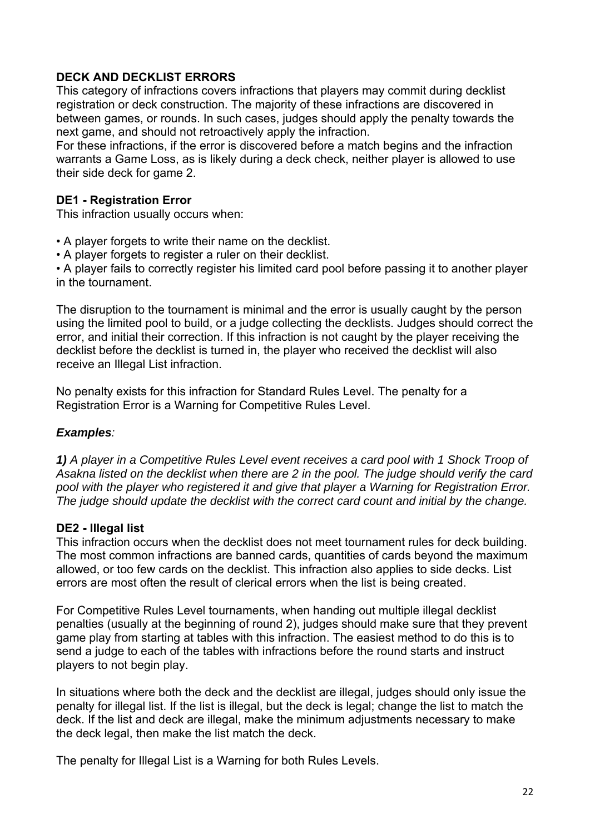## **DECK AND DECKLIST ERRORS**

This category of infractions covers infractions that players may commit during decklist registration or deck construction. The majority of these infractions are discovered in between games, or rounds. In such cases, judges should apply the penalty towards the next game, and should not retroactively apply the infraction.

For these infractions, if the error is discovered before a match begins and the infraction warrants a Game Loss, as is likely during a deck check, neither player is allowed to use their side deck for game 2.

## **DE1 - Registration Error**

This infraction usually occurs when:

- A player forgets to write their name on the decklist.
- A player forgets to register a ruler on their decklist.

• A player fails to correctly register his limited card pool before passing it to another player in the tournament.

The disruption to the tournament is minimal and the error is usually caught by the person using the limited pool to build, or a judge collecting the decklists. Judges should correct the error, and initial their correction. If this infraction is not caught by the player receiving the decklist before the decklist is turned in, the player who received the decklist will also receive an Illegal List infraction.

No penalty exists for this infraction for Standard Rules Level. The penalty for a Registration Error is a Warning for Competitive Rules Level.

#### *Examples:*

*1) A player in a Competitive Rules Level event receives a card pool with 1 Shock Troop of Asakna listed on the decklist when there are 2 in the pool. The judge should verify the card pool with the player who registered it and give that player a Warning for Registration Error. The judge should update the decklist with the correct card count and initial by the change.* 

## **DE2 - Illegal list**

This infraction occurs when the decklist does not meet tournament rules for deck building. The most common infractions are banned cards, quantities of cards beyond the maximum allowed, or too few cards on the decklist. This infraction also applies to side decks. List errors are most often the result of clerical errors when the list is being created.

For Competitive Rules Level tournaments, when handing out multiple illegal decklist penalties (usually at the beginning of round 2), judges should make sure that they prevent game play from starting at tables with this infraction. The easiest method to do this is to send a judge to each of the tables with infractions before the round starts and instruct players to not begin play.

In situations where both the deck and the decklist are illegal, judges should only issue the penalty for illegal list. If the list is illegal, but the deck is legal; change the list to match the deck. If the list and deck are illegal, make the minimum adjustments necessary to make the deck legal, then make the list match the deck.

The penalty for Illegal List is a Warning for both Rules Levels.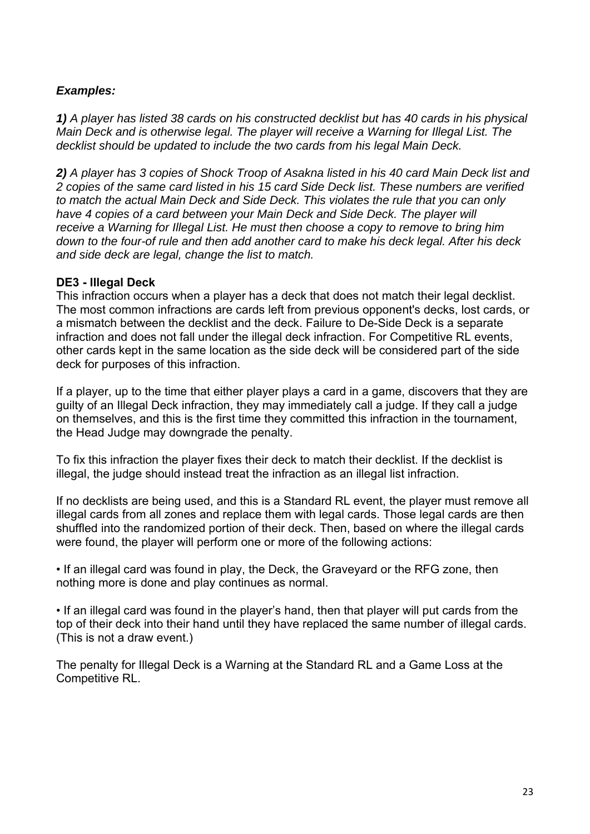## *Examples:*

*1) A player has listed 38 cards on his constructed decklist but has 40 cards in his physical Main Deck and is otherwise legal. The player will receive a Warning for Illegal List. The decklist should be updated to include the two cards from his legal Main Deck.* 

*2) A player has 3 copies of Shock Troop of Asakna listed in his 40 card Main Deck list and 2 copies of the same card listed in his 15 card Side Deck list. These numbers are verified to match the actual Main Deck and Side Deck. This violates the rule that you can only have 4 copies of a card between your Main Deck and Side Deck. The player will receive a Warning for Illegal List. He must then choose a copy to remove to bring him down to the four-of rule and then add another card to make his deck legal. After his deck and side deck are legal, change the list to match.* 

#### **DE3 - Illegal Deck**

This infraction occurs when a player has a deck that does not match their legal decklist. The most common infractions are cards left from previous opponent's decks, lost cards, or a mismatch between the decklist and the deck. Failure to De-Side Deck is a separate infraction and does not fall under the illegal deck infraction. For Competitive RL events, other cards kept in the same location as the side deck will be considered part of the side deck for purposes of this infraction.

If a player, up to the time that either player plays a card in a game, discovers that they are guilty of an Illegal Deck infraction, they may immediately call a judge. If they call a judge on themselves, and this is the first time they committed this infraction in the tournament, the Head Judge may downgrade the penalty.

To fix this infraction the player fixes their deck to match their decklist. If the decklist is illegal, the judge should instead treat the infraction as an illegal list infraction.

If no decklists are being used, and this is a Standard RL event, the player must remove all illegal cards from all zones and replace them with legal cards. Those legal cards are then shuffled into the randomized portion of their deck. Then, based on where the illegal cards were found, the player will perform one or more of the following actions:

• If an illegal card was found in play, the Deck, the Graveyard or the RFG zone, then nothing more is done and play continues as normal.

• If an illegal card was found in the player's hand, then that player will put cards from the top of their deck into their hand until they have replaced the same number of illegal cards. (This is not a draw event.)

The penalty for Illegal Deck is a Warning at the Standard RL and a Game Loss at the Competitive RL.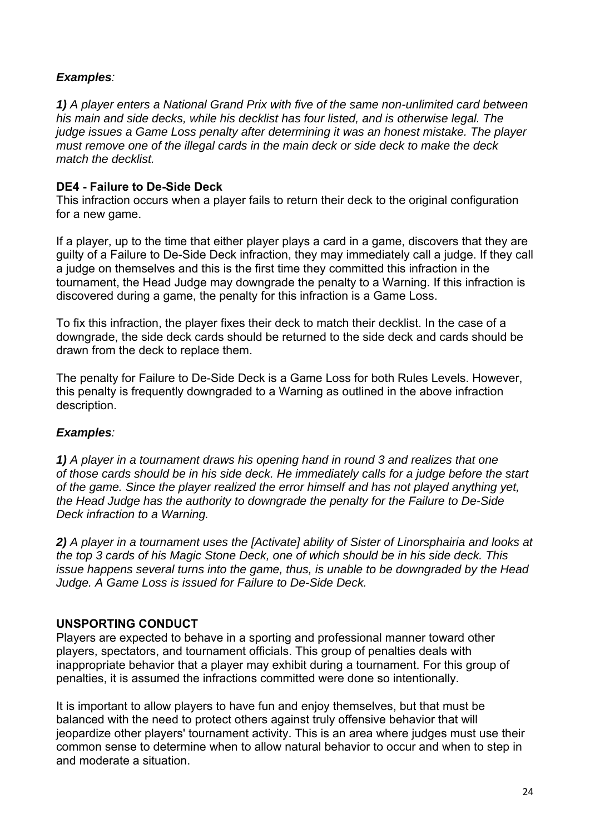## *Examples:*

*1) A player enters a National Grand Prix with five of the same non-unlimited card between his main and side decks, while his decklist has four listed, and is otherwise legal. The judge issues a Game Loss penalty after determining it was an honest mistake. The player must remove one of the illegal cards in the main deck or side deck to make the deck match the decklist.* 

## **DE4 - Failure to De-Side Deck**

This infraction occurs when a player fails to return their deck to the original configuration for a new game.

If a player, up to the time that either player plays a card in a game, discovers that they are guilty of a Failure to De-Side Deck infraction, they may immediately call a judge. If they call a judge on themselves and this is the first time they committed this infraction in the tournament, the Head Judge may downgrade the penalty to a Warning. If this infraction is discovered during a game, the penalty for this infraction is a Game Loss.

To fix this infraction, the player fixes their deck to match their decklist. In the case of a downgrade, the side deck cards should be returned to the side deck and cards should be drawn from the deck to replace them.

The penalty for Failure to De-Side Deck is a Game Loss for both Rules Levels. However, this penalty is frequently downgraded to a Warning as outlined in the above infraction description.

## *Examples:*

*1) A player in a tournament draws his opening hand in round 3 and realizes that one of those cards should be in his side deck. He immediately calls for a judge before the start of the game. Since the player realized the error himself and has not played anything yet, the Head Judge has the authority to downgrade the penalty for the Failure to De-Side Deck infraction to a Warning.* 

*2) A player in a tournament uses the [Activate] ability of Sister of Linorsphairia and looks at the top 3 cards of his Magic Stone Deck, one of which should be in his side deck. This issue happens several turns into the game, thus, is unable to be downgraded by the Head Judge. A Game Loss is issued for Failure to De-Side Deck.* 

## **UNSPORTING CONDUCT**

Players are expected to behave in a sporting and professional manner toward other players, spectators, and tournament officials. This group of penalties deals with inappropriate behavior that a player may exhibit during a tournament. For this group of penalties, it is assumed the infractions committed were done so intentionally.

It is important to allow players to have fun and enjoy themselves, but that must be balanced with the need to protect others against truly offensive behavior that will jeopardize other players' tournament activity. This is an area where judges must use their common sense to determine when to allow natural behavior to occur and when to step in and moderate a situation.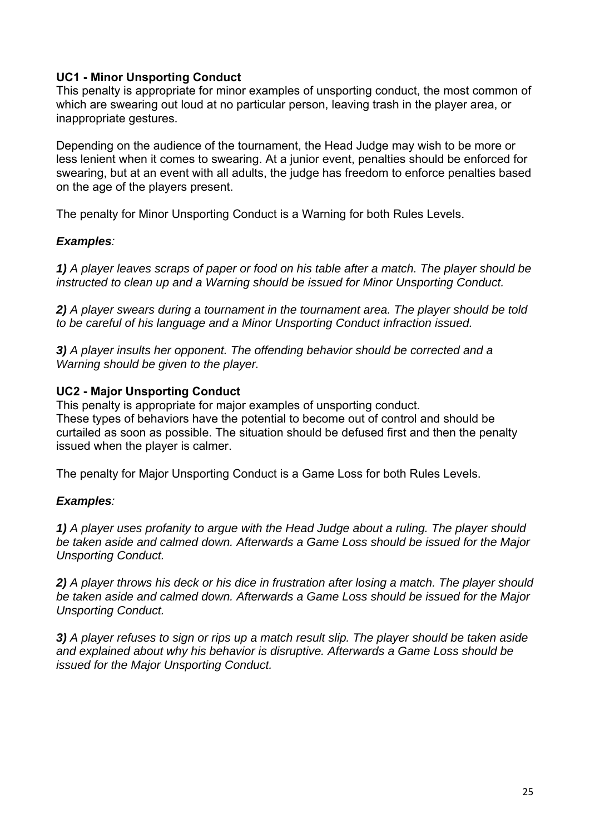## **UC1 - Minor Unsporting Conduct**

This penalty is appropriate for minor examples of unsporting conduct, the most common of which are swearing out loud at no particular person, leaving trash in the player area, or inappropriate gestures.

Depending on the audience of the tournament, the Head Judge may wish to be more or less lenient when it comes to swearing. At a junior event, penalties should be enforced for swearing, but at an event with all adults, the judge has freedom to enforce penalties based on the age of the players present.

The penalty for Minor Unsporting Conduct is a Warning for both Rules Levels.

## *Examples:*

*1) A player leaves scraps of paper or food on his table after a match. The player should be instructed to clean up and a Warning should be issued for Minor Unsporting Conduct.* 

*2) A player swears during a tournament in the tournament area. The player should be told to be careful of his language and a Minor Unsporting Conduct infraction issued.* 

*3) A player insults her opponent. The offending behavior should be corrected and a Warning should be given to the player.* 

## **UC2 - Major Unsporting Conduct**

This penalty is appropriate for major examples of unsporting conduct. These types of behaviors have the potential to become out of control and should be curtailed as soon as possible. The situation should be defused first and then the penalty issued when the player is calmer.

The penalty for Major Unsporting Conduct is a Game Loss for both Rules Levels.

## *Examples:*

*1) A player uses profanity to argue with the Head Judge about a ruling. The player should be taken aside and calmed down. Afterwards a Game Loss should be issued for the Major Unsporting Conduct.* 

*2) A player throws his deck or his dice in frustration after losing a match. The player should be taken aside and calmed down. Afterwards a Game Loss should be issued for the Major Unsporting Conduct.* 

*3) A player refuses to sign or rips up a match result slip. The player should be taken aside and explained about why his behavior is disruptive. Afterwards a Game Loss should be issued for the Major Unsporting Conduct.*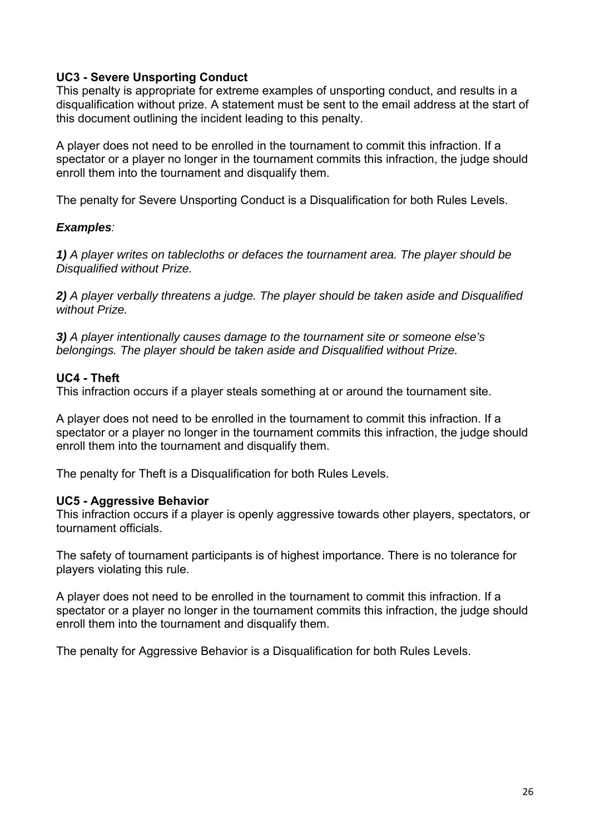## **UC3 - Severe Unsporting Conduct**

This penalty is appropriate for extreme examples of unsporting conduct, and results in a disqualification without prize. A statement must be sent to the email address at the start of this document outlining the incident leading to this penalty.

A player does not need to be enrolled in the tournament to commit this infraction. If a spectator or a player no longer in the tournament commits this infraction, the judge should enroll them into the tournament and disqualify them.

The penalty for Severe Unsporting Conduct is a Disqualification for both Rules Levels.

#### *Examples:*

*1) A player writes on tablecloths or defaces the tournament area. The player should be Disqualified without Prize.* 

*2) A player verbally threatens a judge. The player should be taken aside and Disqualified without Prize.* 

*3) A player intentionally causes damage to the tournament site or someone else's belongings. The player should be taken aside and Disqualified without Prize.* 

#### **UC4 - Theft**

This infraction occurs if a player steals something at or around the tournament site.

A player does not need to be enrolled in the tournament to commit this infraction. If a spectator or a player no longer in the tournament commits this infraction, the judge should enroll them into the tournament and disqualify them.

The penalty for Theft is a Disqualification for both Rules Levels.

#### **UC5 - Aggressive Behavior**

This infraction occurs if a player is openly aggressive towards other players, spectators, or tournament officials.

The safety of tournament participants is of highest importance. There is no tolerance for players violating this rule.

A player does not need to be enrolled in the tournament to commit this infraction. If a spectator or a player no longer in the tournament commits this infraction, the judge should enroll them into the tournament and disqualify them.

The penalty for Aggressive Behavior is a Disqualification for both Rules Levels.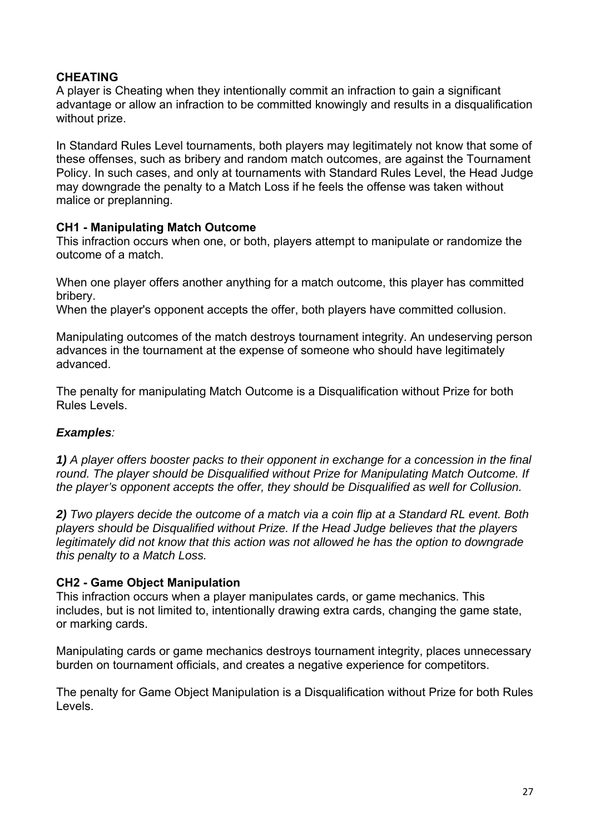## **CHEATING**

A player is Cheating when they intentionally commit an infraction to gain a significant advantage or allow an infraction to be committed knowingly and results in a disqualification without prize.

In Standard Rules Level tournaments, both players may legitimately not know that some of these offenses, such as bribery and random match outcomes, are against the Tournament Policy. In such cases, and only at tournaments with Standard Rules Level, the Head Judge may downgrade the penalty to a Match Loss if he feels the offense was taken without malice or preplanning.

#### **CH1 - Manipulating Match Outcome**

This infraction occurs when one, or both, players attempt to manipulate or randomize the outcome of a match.

When one player offers another anything for a match outcome, this player has committed bribery.

When the player's opponent accepts the offer, both players have committed collusion.

Manipulating outcomes of the match destroys tournament integrity. An undeserving person advances in the tournament at the expense of someone who should have legitimately advanced.

The penalty for manipulating Match Outcome is a Disqualification without Prize for both Rules Levels.

## *Examples:*

*1) A player offers booster packs to their opponent in exchange for a concession in the final round. The player should be Disqualified without Prize for Manipulating Match Outcome. If the player's opponent accepts the offer, they should be Disqualified as well for Collusion.* 

*2) Two players decide the outcome of a match via a coin flip at a Standard RL event. Both players should be Disqualified without Prize. If the Head Judge believes that the players legitimately did not know that this action was not allowed he has the option to downgrade this penalty to a Match Loss.* 

## **CH2 - Game Object Manipulation**

This infraction occurs when a player manipulates cards, or game mechanics. This includes, but is not limited to, intentionally drawing extra cards, changing the game state, or marking cards.

Manipulating cards or game mechanics destroys tournament integrity, places unnecessary burden on tournament officials, and creates a negative experience for competitors.

The penalty for Game Object Manipulation is a Disqualification without Prize for both Rules Levels.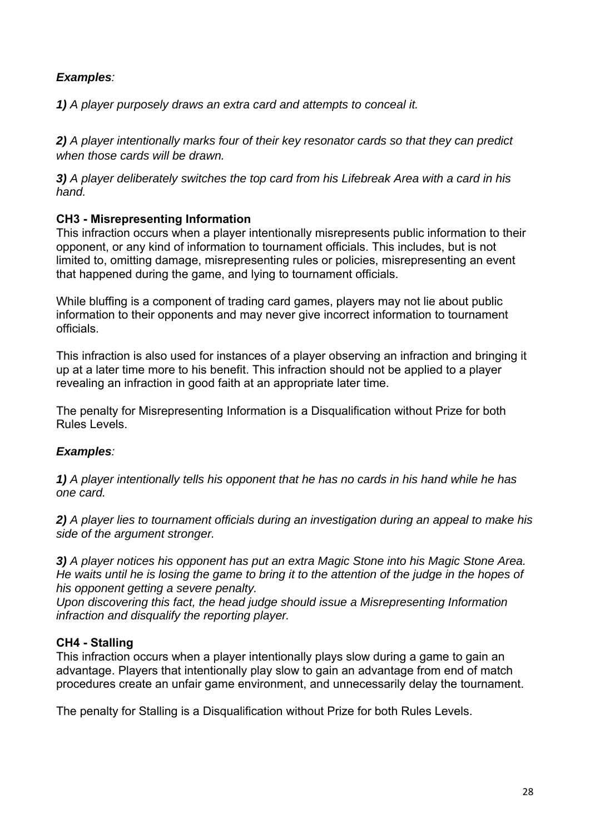## *Examples:*

*1) A player purposely draws an extra card and attempts to conceal it.* 

*2) A player intentionally marks four of their key resonator cards so that they can predict when those cards will be drawn.*

*3) A player deliberately switches the top card from his Lifebreak Area with a card in his hand.* 

## **CH3 - Misrepresenting Information**

This infraction occurs when a player intentionally misrepresents public information to their opponent, or any kind of information to tournament officials. This includes, but is not limited to, omitting damage, misrepresenting rules or policies, misrepresenting an event that happened during the game, and lying to tournament officials.

While bluffing is a component of trading card games, players may not lie about public information to their opponents and may never give incorrect information to tournament officials.

This infraction is also used for instances of a player observing an infraction and bringing it up at a later time more to his benefit. This infraction should not be applied to a player revealing an infraction in good faith at an appropriate later time.

The penalty for Misrepresenting Information is a Disqualification without Prize for both Rules Levels.

## *Examples:*

*1) A player intentionally tells his opponent that he has no cards in his hand while he has one card.* 

*2) A player lies to tournament officials during an investigation during an appeal to make his side of the argument stronger.* 

*3) A player notices his opponent has put an extra Magic Stone into his Magic Stone Area. He waits until he is losing the game to bring it to the attention of the judge in the hopes of his opponent getting a severe penalty.* 

*Upon discovering this fact, the head judge should issue a Misrepresenting Information infraction and disqualify the reporting player.* 

## **CH4 - Stalling**

This infraction occurs when a player intentionally plays slow during a game to gain an advantage. Players that intentionally play slow to gain an advantage from end of match procedures create an unfair game environment, and unnecessarily delay the tournament.

The penalty for Stalling is a Disqualification without Prize for both Rules Levels.